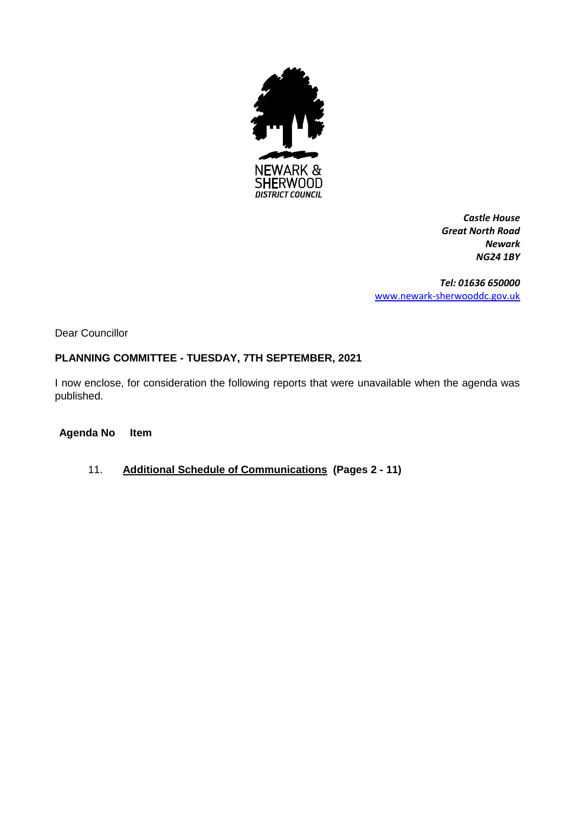

*Castle House Great North Road Newark NG24 1BY*

*Tel: 01636 650000* [www.newark-sherwooddc.gov.uk](http://www.newark-sherwooddc.gov.uk/)

Dear Councillor

#### **PLANNING COMMITTEE - TUESDAY, 7TH SEPTEMBER, 2021**

I now enclose, for consideration the following reports that were unavailable when the agenda was published.

## **Agenda No Item**

11. **Additional Schedule of Communications (Pages 2 - 11)**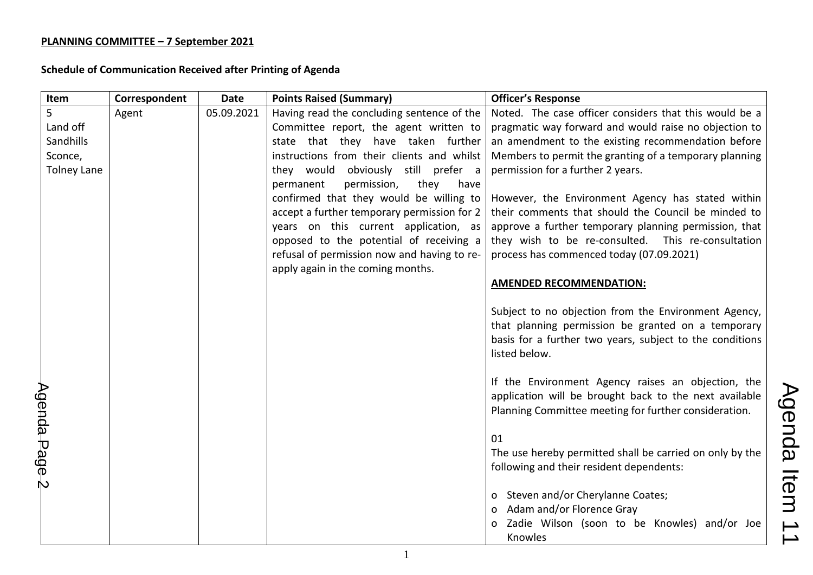| Item               | Correspondent | <b>Date</b> | <b>Points Raised (Summary)</b>              | <b>Officer's Response</b>                                                                                                                                                               |                          |
|--------------------|---------------|-------------|---------------------------------------------|-----------------------------------------------------------------------------------------------------------------------------------------------------------------------------------------|--------------------------|
| 5                  | Agent         | 05.09.2021  | Having read the concluding sentence of the  | Noted. The case officer considers that this would be a                                                                                                                                  |                          |
| Land off           |               |             | Committee report, the agent written to      | pragmatic way forward and would raise no objection to                                                                                                                                   |                          |
| Sandhills          |               |             | state that they have taken further          | an amendment to the existing recommendation before                                                                                                                                      |                          |
| Sconce,            |               |             | instructions from their clients and whilst  | Members to permit the granting of a temporary planning                                                                                                                                  |                          |
| <b>Tolney Lane</b> |               |             | they would obviously still prefer a         | permission for a further 2 years.                                                                                                                                                       |                          |
|                    |               |             | permission,<br>they<br>permanent<br>have    |                                                                                                                                                                                         |                          |
|                    |               |             | confirmed that they would be willing to     | However, the Environment Agency has stated within                                                                                                                                       |                          |
|                    |               |             | accept a further temporary permission for 2 | their comments that should the Council be minded to                                                                                                                                     |                          |
|                    |               |             | years on this current application, as       | approve a further temporary planning permission, that                                                                                                                                   |                          |
|                    |               |             | opposed to the potential of receiving a     | they wish to be re-consulted. This re-consultation                                                                                                                                      |                          |
|                    |               |             | refusal of permission now and having to re- | process has commenced today (07.09.2021)                                                                                                                                                |                          |
|                    |               |             | apply again in the coming months.           |                                                                                                                                                                                         |                          |
|                    |               |             |                                             | <b>AMENDED RECOMMENDATION:</b>                                                                                                                                                          |                          |
|                    |               |             |                                             | Subject to no objection from the Environment Agency,<br>that planning permission be granted on a temporary<br>basis for a further two years, subject to the conditions<br>listed below. |                          |
| Agenda Page 2      |               |             |                                             | If the Environment Agency raises an objection, the<br>application will be brought back to the next available<br>Planning Committee meeting for further consideration.                   | Agenda                   |
|                    |               |             |                                             | 01                                                                                                                                                                                      |                          |
|                    |               |             |                                             | The use hereby permitted shall be carried on only by the<br>following and their resident dependents:                                                                                    |                          |
|                    |               |             |                                             |                                                                                                                                                                                         | Item                     |
|                    |               |             |                                             | o Steven and/or Cherylanne Coates;                                                                                                                                                      |                          |
|                    |               |             |                                             | Adam and/or Florence Gray                                                                                                                                                               |                          |
|                    |               |             |                                             | Zadie Wilson (soon to be Knowles) and/or Joe<br>Knowles                                                                                                                                 | $\overline{\phantom{0}}$ |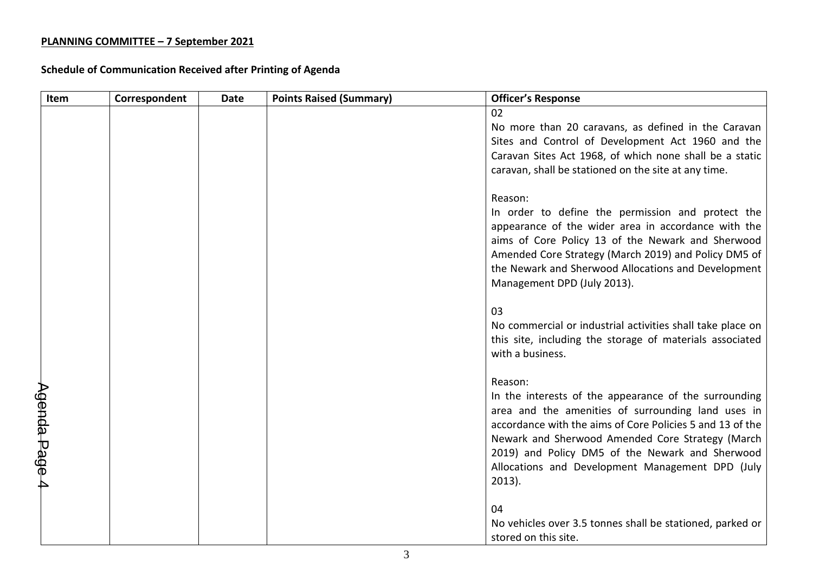| Item          | Correspondent | <b>Date</b> | <b>Points Raised (Summary)</b> | <b>Officer's Response</b>                                  |
|---------------|---------------|-------------|--------------------------------|------------------------------------------------------------|
|               |               |             |                                | 02                                                         |
|               |               |             |                                | No more than 20 caravans, as defined in the Caravan        |
|               |               |             |                                | Sites and Control of Development Act 1960 and the          |
|               |               |             |                                | Caravan Sites Act 1968, of which none shall be a static    |
|               |               |             |                                | caravan, shall be stationed on the site at any time.       |
|               |               |             |                                | Reason:                                                    |
|               |               |             |                                | In order to define the permission and protect the          |
|               |               |             |                                | appearance of the wider area in accordance with the        |
|               |               |             |                                | aims of Core Policy 13 of the Newark and Sherwood          |
|               |               |             |                                | Amended Core Strategy (March 2019) and Policy DM5 of       |
|               |               |             |                                | the Newark and Sherwood Allocations and Development        |
|               |               |             |                                | Management DPD (July 2013).                                |
|               |               |             |                                | 03                                                         |
|               |               |             |                                | No commercial or industrial activities shall take place on |
|               |               |             |                                | this site, including the storage of materials associated   |
|               |               |             |                                | with a business.                                           |
|               |               |             |                                | Reason:                                                    |
|               |               |             |                                | In the interests of the appearance of the surrounding      |
|               |               |             |                                | area and the amenities of surrounding land uses in         |
|               |               |             |                                | accordance with the aims of Core Policies 5 and 13 of the  |
|               |               |             |                                | Newark and Sherwood Amended Core Strategy (March           |
|               |               |             |                                | 2019) and Policy DM5 of the Newark and Sherwood            |
|               |               |             |                                | Allocations and Development Management DPD (July           |
| Agenda Page 4 |               |             |                                | $2013$ ).                                                  |
|               |               |             |                                | 04                                                         |
|               |               |             |                                | No vehicles over 3.5 tonnes shall be stationed, parked or  |
|               |               |             |                                | stored on this site.                                       |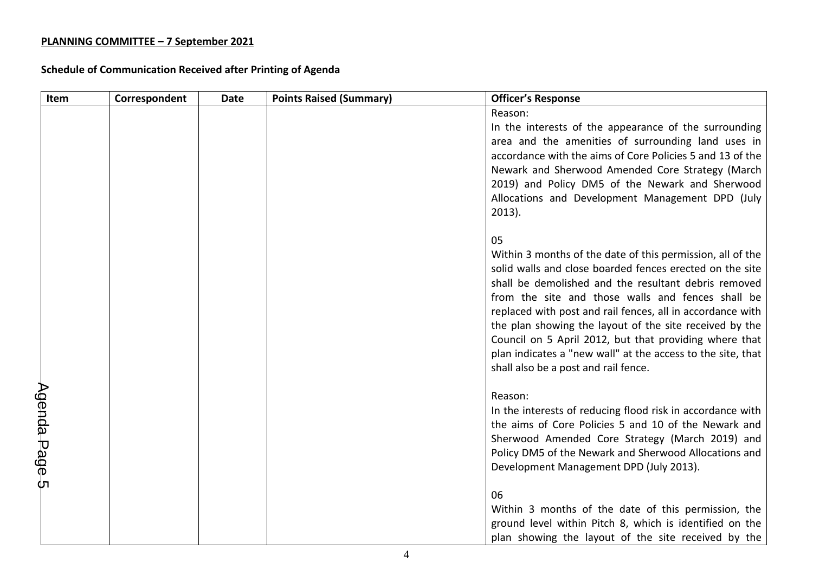| Item          | Correspondent | <b>Date</b> | <b>Points Raised (Summary)</b> | <b>Officer's Response</b>                                                                                          |
|---------------|---------------|-------------|--------------------------------|--------------------------------------------------------------------------------------------------------------------|
|               |               |             |                                | Reason:                                                                                                            |
|               |               |             |                                | In the interests of the appearance of the surrounding                                                              |
|               |               |             |                                | area and the amenities of surrounding land uses in                                                                 |
|               |               |             |                                | accordance with the aims of Core Policies 5 and 13 of the<br>Newark and Sherwood Amended Core Strategy (March      |
|               |               |             |                                | 2019) and Policy DM5 of the Newark and Sherwood                                                                    |
|               |               |             |                                | Allocations and Development Management DPD (July                                                                   |
|               |               |             |                                | $2013$ ).                                                                                                          |
|               |               |             |                                |                                                                                                                    |
|               |               |             |                                | 05                                                                                                                 |
|               |               |             |                                | Within 3 months of the date of this permission, all of the                                                         |
|               |               |             |                                | solid walls and close boarded fences erected on the site                                                           |
|               |               |             |                                | shall be demolished and the resultant debris removed                                                               |
|               |               |             |                                | from the site and those walls and fences shall be<br>replaced with post and rail fences, all in accordance with    |
|               |               |             |                                | the plan showing the layout of the site received by the                                                            |
|               |               |             |                                | Council on 5 April 2012, but that providing where that                                                             |
|               |               |             |                                | plan indicates a "new wall" at the access to the site, that                                                        |
|               |               |             |                                | shall also be a post and rail fence.                                                                               |
|               |               |             |                                |                                                                                                                    |
|               |               |             |                                | Reason:                                                                                                            |
|               |               |             |                                | In the interests of reducing flood risk in accordance with<br>the aims of Core Policies 5 and 10 of the Newark and |
|               |               |             |                                | Sherwood Amended Core Strategy (March 2019) and                                                                    |
|               |               |             |                                | Policy DM5 of the Newark and Sherwood Allocations and                                                              |
| Agenda Page 5 |               |             |                                | Development Management DPD (July 2013).                                                                            |
|               |               |             |                                |                                                                                                                    |
|               |               |             |                                | 06                                                                                                                 |
|               |               |             |                                | Within 3 months of the date of this permission, the                                                                |
|               |               |             |                                | ground level within Pitch 8, which is identified on the                                                            |
|               |               |             |                                | plan showing the layout of the site received by the                                                                |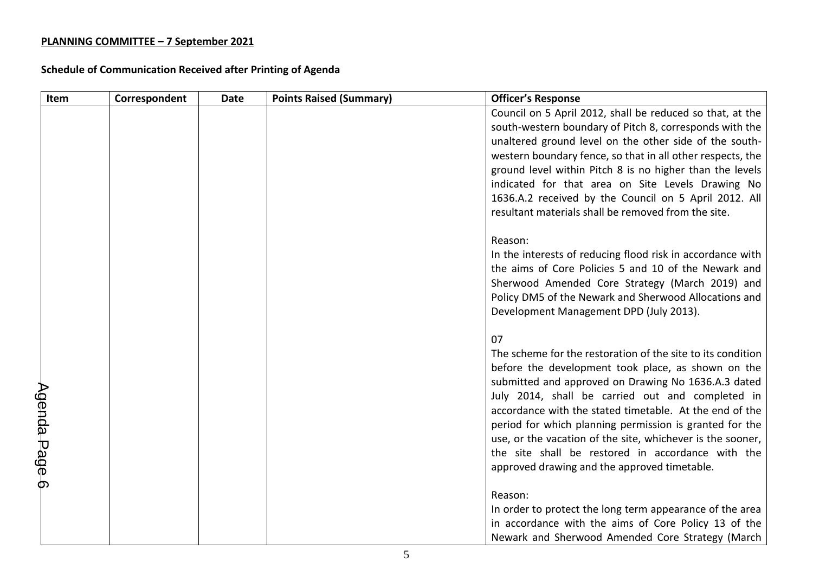| Item          | Correspondent | <b>Date</b> | <b>Points Raised (Summary)</b> | <b>Officer's Response</b>                                   |
|---------------|---------------|-------------|--------------------------------|-------------------------------------------------------------|
|               |               |             |                                | Council on 5 April 2012, shall be reduced so that, at the   |
|               |               |             |                                | south-western boundary of Pitch 8, corresponds with the     |
|               |               |             |                                | unaltered ground level on the other side of the south-      |
|               |               |             |                                | western boundary fence, so that in all other respects, the  |
|               |               |             |                                | ground level within Pitch 8 is no higher than the levels    |
|               |               |             |                                | indicated for that area on Site Levels Drawing No           |
|               |               |             |                                | 1636.A.2 received by the Council on 5 April 2012. All       |
|               |               |             |                                | resultant materials shall be removed from the site.         |
|               |               |             |                                | Reason:                                                     |
|               |               |             |                                | In the interests of reducing flood risk in accordance with  |
|               |               |             |                                | the aims of Core Policies 5 and 10 of the Newark and        |
|               |               |             |                                | Sherwood Amended Core Strategy (March 2019) and             |
|               |               |             |                                | Policy DM5 of the Newark and Sherwood Allocations and       |
|               |               |             |                                | Development Management DPD (July 2013).                     |
|               |               |             |                                | 07                                                          |
|               |               |             |                                | The scheme for the restoration of the site to its condition |
|               |               |             |                                | before the development took place, as shown on the          |
|               |               |             |                                | submitted and approved on Drawing No 1636.A.3 dated         |
|               |               |             |                                | July 2014, shall be carried out and completed in            |
|               |               |             |                                | accordance with the stated timetable. At the end of the     |
|               |               |             |                                | period for which planning permission is granted for the     |
|               |               |             |                                | use, or the vacation of the site, whichever is the sooner,  |
|               |               |             |                                | the site shall be restored in accordance with the           |
| Agenda Page 6 |               |             |                                | approved drawing and the approved timetable.                |
|               |               |             |                                | Reason:                                                     |
|               |               |             |                                | In order to protect the long term appearance of the area    |
|               |               |             |                                | in accordance with the aims of Core Policy 13 of the        |
|               |               |             |                                | Newark and Sherwood Amended Core Strategy (March            |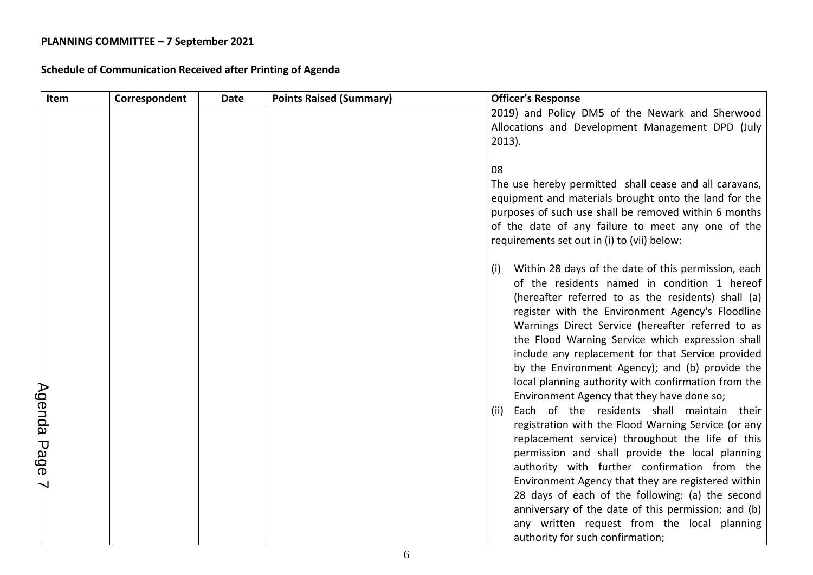| Item          | Correspondent | <b>Date</b> | <b>Points Raised (Summary)</b> | <b>Officer's Response</b>                                                                             |
|---------------|---------------|-------------|--------------------------------|-------------------------------------------------------------------------------------------------------|
|               |               |             |                                | 2019) and Policy DM5 of the Newark and Sherwood                                                       |
|               |               |             |                                | Allocations and Development Management DPD (July                                                      |
|               |               |             |                                | $2013$ ).                                                                                             |
|               |               |             |                                | 08                                                                                                    |
|               |               |             |                                | The use hereby permitted shall cease and all caravans,                                                |
|               |               |             |                                | equipment and materials brought onto the land for the                                                 |
|               |               |             |                                | purposes of such use shall be removed within 6 months                                                 |
|               |               |             |                                | of the date of any failure to meet any one of the                                                     |
|               |               |             |                                | requirements set out in (i) to (vii) below:                                                           |
|               |               |             |                                | Within 28 days of the date of this permission, each<br>(i)                                            |
|               |               |             |                                | of the residents named in condition 1 hereof                                                          |
|               |               |             |                                | (hereafter referred to as the residents) shall (a)                                                    |
|               |               |             |                                | register with the Environment Agency's Floodline                                                      |
|               |               |             |                                | Warnings Direct Service (hereafter referred to as                                                     |
|               |               |             |                                | the Flood Warning Service which expression shall<br>include any replacement for that Service provided |
|               |               |             |                                | by the Environment Agency); and (b) provide the                                                       |
|               |               |             |                                | local planning authority with confirmation from the                                                   |
|               |               |             |                                | Environment Agency that they have done so;                                                            |
| Agenda Page 7 |               |             |                                | Each of the residents shall maintain their<br>(ii)                                                    |
|               |               |             |                                | registration with the Flood Warning Service (or any                                                   |
|               |               |             |                                | replacement service) throughout the life of this                                                      |
|               |               |             |                                | permission and shall provide the local planning                                                       |
|               |               |             |                                | authority with further confirmation from the<br>Environment Agency that they are registered within    |
|               |               |             |                                | 28 days of each of the following: (a) the second                                                      |
|               |               |             |                                | anniversary of the date of this permission; and (b)                                                   |
|               |               |             |                                | any written request from the local planning                                                           |
|               |               |             |                                | authority for such confirmation;                                                                      |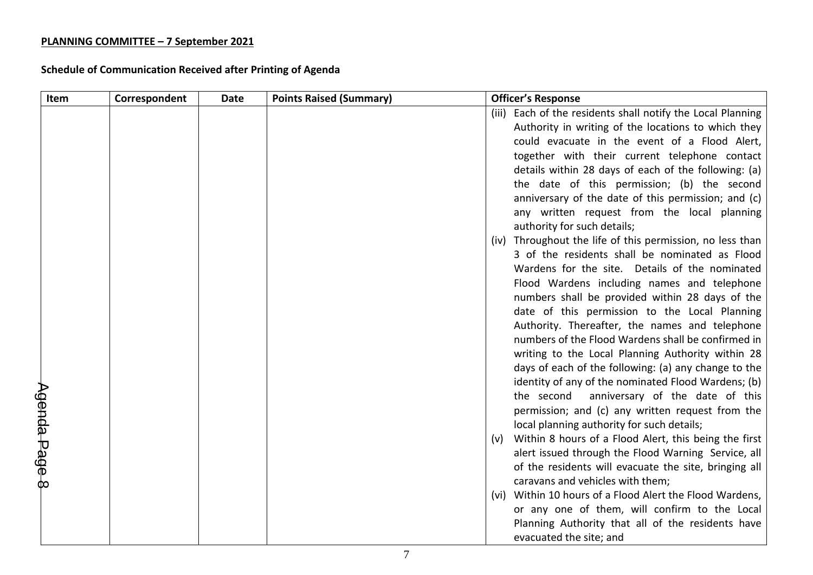| Item          | Correspondent | <b>Date</b> | <b>Points Raised (Summary)</b> |       | <b>Officer's Response</b>                                                                        |
|---------------|---------------|-------------|--------------------------------|-------|--------------------------------------------------------------------------------------------------|
|               |               |             |                                | (iii) | Each of the residents shall notify the Local Planning                                            |
|               |               |             |                                |       | Authority in writing of the locations to which they                                              |
|               |               |             |                                |       | could evacuate in the event of a Flood Alert,                                                    |
|               |               |             |                                |       | together with their current telephone contact                                                    |
|               |               |             |                                |       | details within 28 days of each of the following: (a)                                             |
|               |               |             |                                |       | the date of this permission; (b) the second                                                      |
|               |               |             |                                |       | anniversary of the date of this permission; and (c)                                              |
|               |               |             |                                |       | any written request from the local planning                                                      |
|               |               |             |                                |       | authority for such details;                                                                      |
|               |               |             |                                | (iv)  | Throughout the life of this permission, no less than                                             |
|               |               |             |                                |       | 3 of the residents shall be nominated as Flood                                                   |
|               |               |             |                                |       | Wardens for the site. Details of the nominated                                                   |
|               |               |             |                                |       | Flood Wardens including names and telephone                                                      |
|               |               |             |                                |       | numbers shall be provided within 28 days of the<br>date of this permission to the Local Planning |
|               |               |             |                                |       | Authority. Thereafter, the names and telephone                                                   |
|               |               |             |                                |       | numbers of the Flood Wardens shall be confirmed in                                               |
|               |               |             |                                |       | writing to the Local Planning Authority within 28                                                |
|               |               |             |                                |       | days of each of the following: (a) any change to the                                             |
|               |               |             |                                |       | identity of any of the nominated Flood Wardens; (b)                                              |
|               |               |             |                                |       | the second<br>anniversary of the date of this                                                    |
|               |               |             |                                |       | permission; and (c) any written request from the                                                 |
|               |               |             |                                |       | local planning authority for such details;                                                       |
| Agenda Page 8 |               |             |                                | (v)   | Within 8 hours of a Flood Alert, this being the first                                            |
|               |               |             |                                |       | alert issued through the Flood Warning Service, all                                              |
|               |               |             |                                |       | of the residents will evacuate the site, bringing all                                            |
|               |               |             |                                |       | caravans and vehicles with them;                                                                 |
|               |               |             |                                | (vi)  | Within 10 hours of a Flood Alert the Flood Wardens,                                              |
|               |               |             |                                |       | or any one of them, will confirm to the Local                                                    |
|               |               |             |                                |       | Planning Authority that all of the residents have                                                |
|               |               |             |                                |       | evacuated the site; and                                                                          |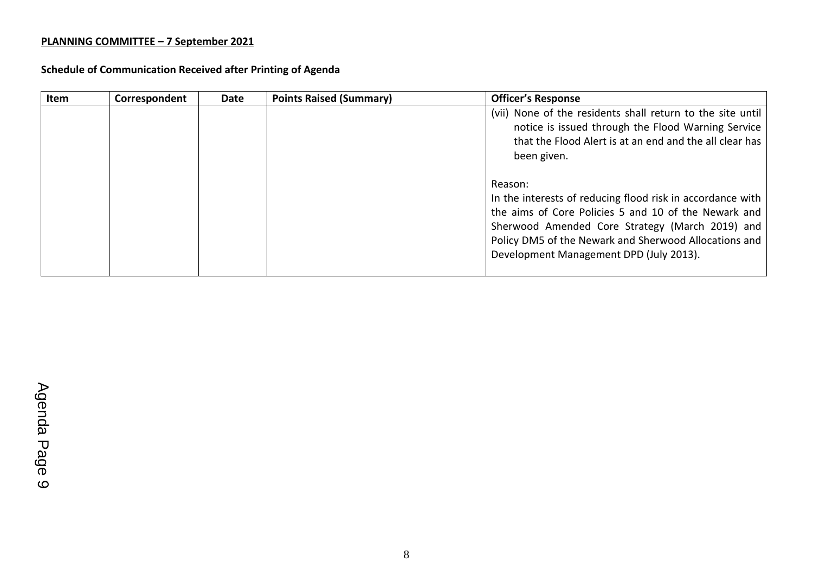| Item | Correspondent | <b>Date</b> | <b>Points Raised (Summary)</b> | <b>Officer's Response</b>                                                                                                                                                                                                                                                            |
|------|---------------|-------------|--------------------------------|--------------------------------------------------------------------------------------------------------------------------------------------------------------------------------------------------------------------------------------------------------------------------------------|
|      |               |             |                                | (vii) None of the residents shall return to the site until<br>notice is issued through the Flood Warning Service<br>that the Flood Alert is at an end and the all clear has<br>been given.                                                                                           |
|      |               |             |                                | Reason:<br>In the interests of reducing flood risk in accordance with<br>the aims of Core Policies 5 and 10 of the Newark and<br>Sherwood Amended Core Strategy (March 2019) and<br>Policy DM5 of the Newark and Sherwood Allocations and<br>Development Management DPD (July 2013). |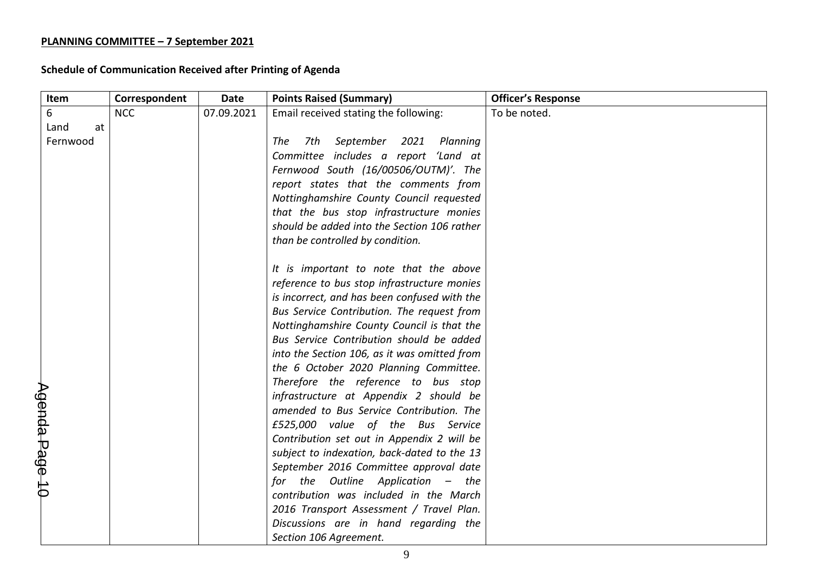| Item           | Correspondent | <b>Date</b> | <b>Points Raised (Summary)</b>               | <b>Officer's Response</b> |
|----------------|---------------|-------------|----------------------------------------------|---------------------------|
| 6              | <b>NCC</b>    | 07.09.2021  | Email received stating the following:        | To be noted.              |
| Land<br>at     |               |             |                                              |                           |
| Fernwood       |               |             | 7th<br>September<br>2021<br>The<br>Planning  |                           |
|                |               |             | Committee includes a report 'Land at         |                           |
|                |               |             | Fernwood South (16/00506/OUTM)'. The         |                           |
|                |               |             | report states that the comments from         |                           |
|                |               |             | Nottinghamshire County Council requested     |                           |
|                |               |             | that the bus stop infrastructure monies      |                           |
|                |               |             | should be added into the Section 106 rather  |                           |
|                |               |             | than be controlled by condition.             |                           |
|                |               |             |                                              |                           |
|                |               |             | It is important to note that the above       |                           |
|                |               |             | reference to bus stop infrastructure monies  |                           |
|                |               |             | is incorrect, and has been confused with the |                           |
|                |               |             | Bus Service Contribution. The request from   |                           |
|                |               |             | Nottinghamshire County Council is that the   |                           |
|                |               |             | Bus Service Contribution should be added     |                           |
|                |               |             | into the Section 106, as it was omitted from |                           |
|                |               |             | the 6 October 2020 Planning Committee.       |                           |
|                |               |             | Therefore the reference to bus stop          |                           |
|                |               |             | infrastructure at Appendix 2 should be       |                           |
|                |               |             | amended to Bus Service Contribution. The     |                           |
|                |               |             | £525,000 value of the Bus Service            |                           |
|                |               |             | Contribution set out in Appendix 2 will be   |                           |
|                |               |             | subject to indexation, back-dated to the 13  |                           |
|                |               |             | September 2016 Committee approval date       |                           |
| Agenda Page 10 |               |             | for the Outline Application - the            |                           |
|                |               |             | contribution was included in the March       |                           |
|                |               |             | 2016 Transport Assessment / Travel Plan.     |                           |
|                |               |             | Discussions are in hand regarding the        |                           |
|                |               |             | Section 106 Agreement.                       |                           |